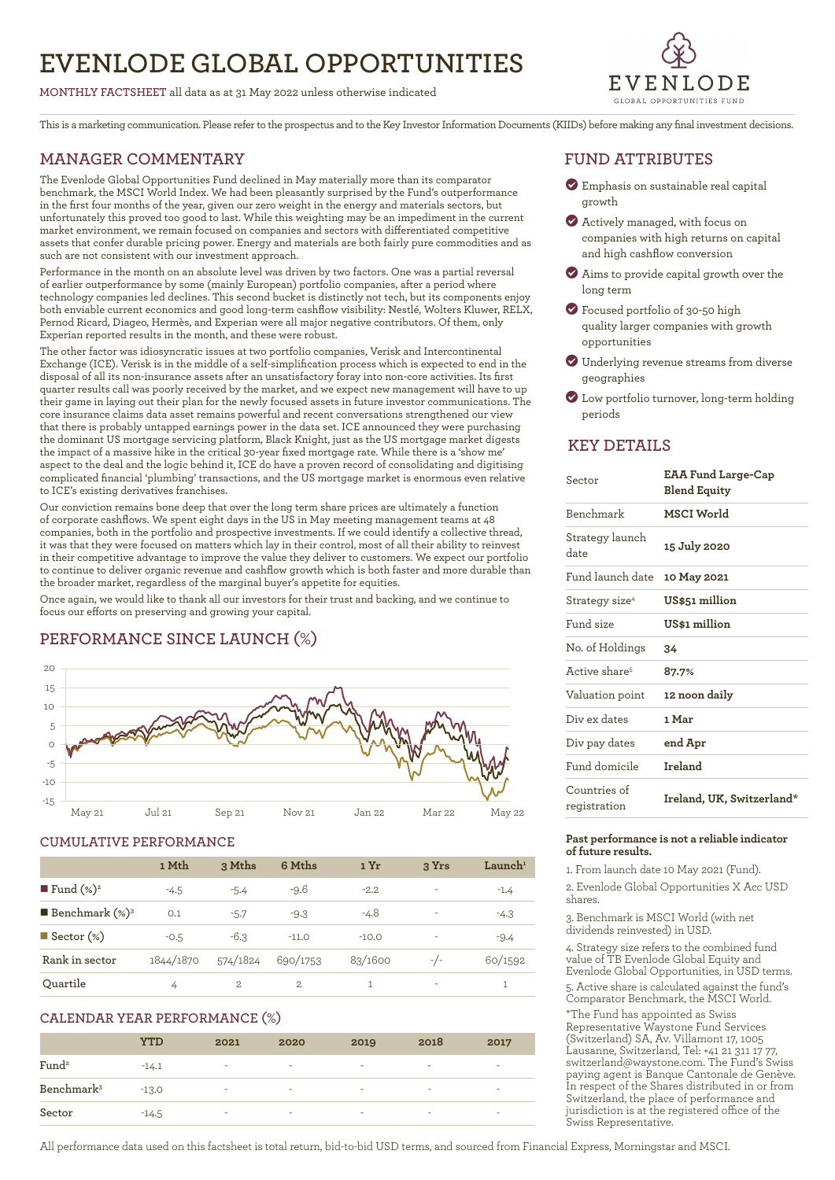# **EVENLODE GLOBAL OPPORTUNITIES**

**MONTHLY FACTSHEET** all data as at 31 May 2022 unless otherwise indicated



This is a marketing communication. Please refer to the prospectus and to the Key Investor Information Documents (KIIDs) before making any final investment decisions.

## **MANAGER COMMENTARY**

The Evenlode Global Opportunities Fund declined in May materially more than its comparator benchmark, the MSCI World Index. We had been pleasantly surprised by the Fund's outperformance in the first four months of the year, given our zero weight in the energy and materials sectors, but unfortunately this proved too good to last. While this weighting may be an impediment in the current market environment, we remain focused on companies and sectors with differentiated competitive assets that confer durable pricing power. Energy and materials are both fairly pure commodities and as such are not consistent with our investment approach.

Performance in the month on an absolute level was driven by two factors. One was a partial reversal of earlier outperformance by some (mainly European) portfolio companies, after a period where technology companies led declines. This second bucket is distinctly not tech, but its components enjoy both enviable current economics and good long-term cashflow visibility: Nestlé, Wolters Kluwer, RELX, Pernod Ricard, Diageo, Hermès, and Experian were all major negative contributors. Of them, only Experian reported results in the month, and these were robust.

The other factor was idiosyncratic issues at two portfolio companies, Verisk and Intercontinental Exchange (ICE). Verisk is in the middle of a self-simplification process which is expected to end in the disposal of all its non-insurance assets after an unsatisfactory foray into non-core activities. Its first quarter results call was poorly received by the market, and we expect new management will have to up their game in laying out their plan for the newly focused assets in future investor communications. The core insurance claims data asset remains powerful and recent conversations strengthened our view that there is probably untapped earnings power in the data set. ICE announced they were purchasing the dominant US mortgage servicing platform, Black Knight, just as the US mortgage market digests the impact of a massive hike in the critical 30-year fixed mortgage rate. While there is a 'show me' aspect to the deal and the logic behind it, ICE do have a proven record of consolidating and digitising complicated financial 'plumbing' transactions, and the US mortgage market is enormous even relative to ICE's existing derivatives franchises.

Our conviction remains bone deep that over the long term share prices are ultimately a function of corporate cashflows. We spent eight days in the US in May meeting management teams at 48 companies, both in the portfolio and prospective investments. If we could identify a collective thread, it was that they were focused on matters which lay in their control, most of all their ability to reinvest in their competitive advantage to improve the value they deliver to customers. We expect our portfolio to continue to deliver organic revenue and cashflow growth which is both faster and more durable than the broader market, regardless of the marginal buyer's appetite for equities.

Once again, we would like to thank all our investors for their trust and backing, and we continue to focus our efforts on preserving and growing your capital.

# **PERFORMANCE SINCE LAUNCH (%)**



### **CUMULATIVE PERFORMANCE**

|                              | 1 Mth     | 3 Mths       | 6 Mths   | 1 Yr    | 3 Yrs | $L$ aunch <sup>1</sup> |
|------------------------------|-----------|--------------|----------|---------|-------|------------------------|
| ■ Fund $(\%)^2$              | $-4.5$    | $-5.4$       | $-9.6$   | $-2.2$  | ٠     | $-1.4$                 |
| <b>Benchmark</b> $(\%)^3$    | 0.1       | $-5.7$       | $-9.3$   | $-4.8$  | ٠     | $-4.3$                 |
| $\blacksquare$ Sector $(\%)$ | $-0.5$    | $-6.3$       | $-11.0$  | $-10.0$ | ٠     | $-9.4$                 |
| Rank in sector               | 1844/1870 | 574/1824     | 690/1753 | 83/1600 | $-/-$ | 60/1592                |
| Ouartile                     | 4         | $\mathbf{2}$ | 2        |         | ٠     |                        |

### **CALENDAR YEAR PERFORMANCE (%)**

|                        | <b>YTD</b> | 2021   | 2020                     | 2019   | 2018                     | 2017 |
|------------------------|------------|--------|--------------------------|--------|--------------------------|------|
| Fund <sup>2</sup>      | $-14.1$    | ٠      | $\overline{\phantom{a}}$ | ٠      | $\overline{\phantom{a}}$ | ۰    |
| Benchmark <sup>3</sup> | $-13.0$    | $\sim$ | $\sim$                   | $\sim$ | $\overline{\phantom{a}}$ | -    |
| Sector                 | $-14.5$    | ٠      | ٠                        | ۰      | $\overline{\phantom{a}}$ | -    |

## **FUND ATTRIBUTES**

- ? Emphasis on sustainable real capital growth
- ? Actively managed, with focus on companies with high returns on capital and high cashflow conversion
- ? Aims to provide capital growth over the long term
- ? Focused portfolio of 30-50 high quality larger companies with growth opportunities
- ? Underlying revenue streams from diverse geographies
- ? Low portfolio turnover, long-term holding periods

### **KEY DETAILS**

| Sector                       | <b>EAA Fund Large-Cap</b><br><b>Blend Equity</b> |  |  |
|------------------------------|--------------------------------------------------|--|--|
| Benchmark                    | MSCI World                                       |  |  |
| Strategy launch<br>date      | 15 July 2020                                     |  |  |
| Fund launch date             | 10 May 2021                                      |  |  |
| Strategy size <sup>4</sup>   | US\$51 million                                   |  |  |
| Fund size                    | US\$1 million                                    |  |  |
| No. of Holdings              | 34                                               |  |  |
| Active share <sup>5</sup>    | 87.7%                                            |  |  |
| Valuation point              | 12 noon daily                                    |  |  |
| Div ex dates                 | 1 Mar                                            |  |  |
| Div pay dates                | end Apr                                          |  |  |
| Fund domicile                | Ireland                                          |  |  |
| Countries of<br>registration | Ireland, UK, Switzerland*                        |  |  |

### **Past performance is not a reliable indicator of future results.**

1. From launch date 10 May 2021 (Fund).

2. Evenlode Global Opportunities X Acc USD shares.

3. Benchmark is MSCI World (with net dividends reinvested) in USD.

4. Strategy size refers to the combined fund value of TB Evenlode Global Equity and Evenlode Global Opportunities, in USD terms. 5. Active share is calculated against the fund's Comparator Benchmark, the MSCI World.

\*The Fund has appointed as Swiss Representative Waystone Fund Services (Switzerland) SA, Av. Villamont 17, 1005 Lausanne, Switzerland, Tel: +41 21 311 17 77, switzerland@waystone.com. The Fund's Swiss paying agent is Banque Cantonale de Genève. In respect of the Shares distributed in or from Switzerland, the place of performance and jurisdiction is at the registered office of the Swiss Representative.

All performance data used on this factsheet is total return, bid-to-bid USD terms, and sourced from Financial Express, Morningstar and MSCI.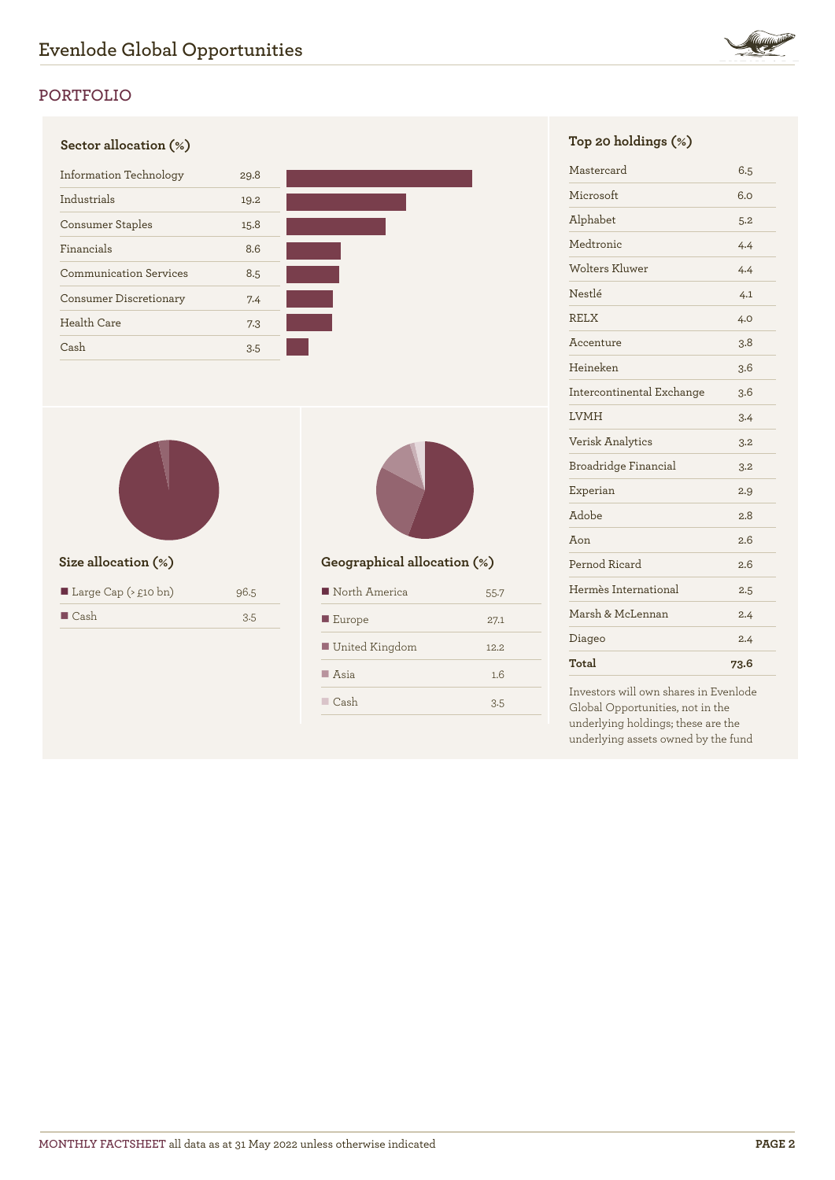

# **PORTFOLIO**

# **Sector allocation (%) Top 20 holdings (%)** Information Technology 29.8 Industrials 19.2 Consumer Staples 15.8 Financials 8.6 Communication Services 8.5 Consumer Discretionary 7.4 Health Care 7.3 Cash 3.5



| ■ Large Cap $($ \ $£10 \text{ bn}$ ) | 96.5 |
|--------------------------------------|------|
| $\blacksquare$ Cash                  | 3.5  |



# **Size allocation (%) Geographical allocation (%)**

| North America         | 55.7  |
|-----------------------|-------|
| $\blacksquare$ Europe | 27.1  |
| United Kingdom        | 12.2. |
| $\blacksquare$ Asia   | 1.6   |
| Cash                  | 3.5   |

| Mastercard                | 6.5  |
|---------------------------|------|
| Microsoft                 | 6.0  |
| Alphabet                  | 5.2  |
| Medtronic                 | 4.4  |
| Wolters Kluwer            | 4.4  |
| Nestlé                    | 4.1  |
| <b>RELX</b>               | 4.0  |
| Accenture                 | 3.8  |
| Heineken                  | 3.6  |
| Intercontinental Exchange | 3.6  |
| <b>LVMH</b>               | 3.4  |
| <b>Verisk Analytics</b>   | 3.2  |
| Broadridge Financial      | 3.2  |
| Experian                  | 2.9  |
| Adobe                     | 2.8  |
| Aon                       | 2.6  |
| Pernod Ricard             | 2.6  |
| Hermès International      | 2.5  |
| Marsh & McLennan          | 2.4  |
| Diageo                    | 2.4  |
| Total                     | 73.6 |

Investors will own shares in Evenlode Global Opportunities, not in the underlying holdings; these are the underlying assets owned by the fund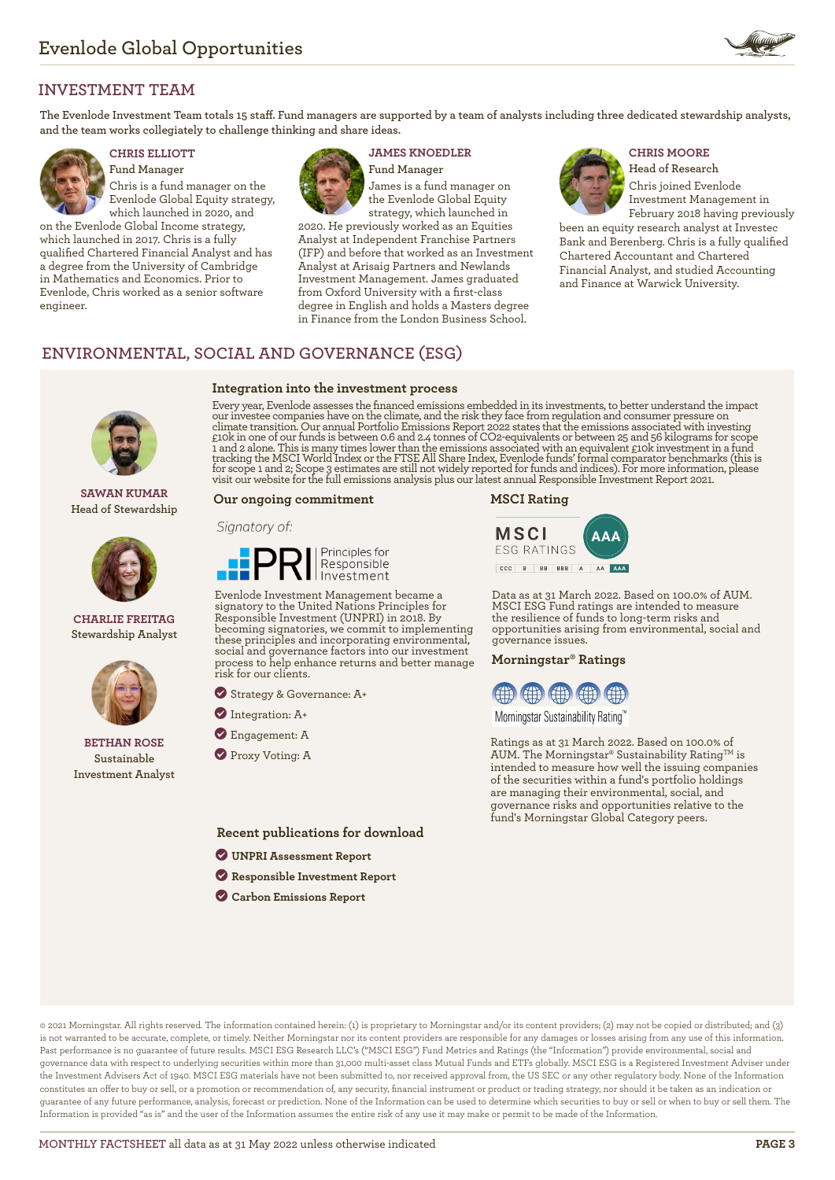

## **INVESTMENT TEAM**

**The Evenlode Investment Team totals 15 staff. Fund managers are supported by a team of analysts including three dedicated stewardship analysts, and the team works collegiately to challenge thinking and share ideas.**



**Fund Manager** Chris is a fund manager on the Evenlode Global Equity strategy, which launched in 2020, and

on the Evenlode Global Income strategy, which launched in 2017. Chris is a fully qualified Chartered Financial Analyst and has a degree from the University of Cambridge in Mathematics and Economics. Prior to Evenlode, Chris worked as a senior software engineer.



**Integration into the investment process**

# **CHRIS ELLIOTT JAMES KNOEDLER CHRIS MOORE**

**Fund Manager** James is a fund manager on the Evenlode Global Equity strategy, which launched in

2020. He previously worked as an Equities Analyst at Independent Franchise Partners (IFP) and before that worked as an Investment Analyst at Arisaig Partners and Newlands Investment Management. James graduated from Oxford University with a first-class degree in English and holds a Masters degree in Finance from the London Business School.

**Head of Research** Chris joined Evenlode Investment Management in February 2018 having previously

been an equity research analyst at Investec Bank and Berenberg. Chris is a fully qualified Chartered Accountant and Chartered Financial Analyst, and studied Accounting and Finance at Warwick University.

# **ENVIRONMENTAL, SOCIAL AND GOVERNANCE (ESG)**

**SAWAN KUMAR Head of Stewardship**



**CHARLIE FREITAG Stewardship Analyst**



**BETHAN ROSE Sustainable Investment Analyst**

Every year, Evenlode assesses the financed emissions embedded in its investments, to better understand the impact our investee companies have on the climate, and the risk they face from regulation and consumer pressure on climate transition. Our annual Portfolio Emissions Report 2022 states that the emissions associated with investing<br>£10k in one of our funds is between 0.6 and 2.4 tonnes of CO2-equivalents or between 25 and 56 kilograms fo

### **Our ongoing commitment**

### Signatory of:



Evenlode Investment Management became a signatory to the United Nations Principles for Responsible Investment (UNPRI) in 2018. By becoming signatories, we commit to implementing these principles and incorporating environmental, social and governance factors into our investment process to help enhance returns and better manage risk for our clients.

? Strategy & Governance: A+

- ? Integration: A+
- ? Engagement: A
- **Proxy Voting: A**

**Recent publications for download**

- ? **[UNPRI Assessment Report](https://evenlodeinvestment.com/resources/stewardship-assets/2020-Assessment-Report.pdf)**
- ? **[Responsible Investment Report](https://evenlodeinvestment.com/resources/stewardship-assets/Evenlode-Investment-Annual-Responsible-Investment-Report-2021.pdf)**
- ? **[Carbon Emissions Report](https://evenlodeinvestment.com/resources/stewardship-assets/Evenlode-Portfolio-Emissions-Report-2022.pdf)**

### **MSCI Rating**



Data as at 31 March 2022. Based on 100.0% of AUM. MSCI ESG Fund ratings are intended to measure the resilience of funds to long-term risks and opportunities arising from environmental, social and governance issues.

### **Morningstar® Ratings**



Morningstar Sustainability Rating™

Ratings as at 31 March 2022. Based on 100.0% of AUM. The Morningstar® Sustainability Rating<sup>TM</sup> is intended to measure how well the issuing companies of the securities within a fund's portfolio holdings are managing their environmental, social, and governance risks and opportunities relative to the fund's Morningstar Global Category peers.

© 2021 Morningstar. All rights reserved. The information contained herein: (1) is proprietary to Morningstar and/or its content providers; (2) may not be copied or distributed; and (3) is not warranted to be accurate, complete, or timely. Neither Morningstar nor its content providers are responsible for any damages or losses arising from any use of this information. Past performance is no guarantee of future results. MSCI ESG Research LLC's ("MSCI ESG") Fund Metrics and Ratings (the "Information") provide environmental, social and governance data with respect to underlying securities within more than 31,000 multi-asset class Mutual Funds and ETFs globally. MSCI ESG is a Registered Investment Adviser under the Investment Advisers Act of 1940. MSCI ESG materials have not been submitted to, nor received approval from, the US SEC or any other regulatory body. None of the Information constitutes an offer to buy or sell, or a promotion or recommendation of, any security, financial instrument or product or trading strategy, nor should it be taken as an indication or guarantee of any future performance, analysis, forecast or prediction. None of the Information can be used to determine which securities to buy or sell or when to buy or sell them. The Information is provided "as is" and the user of the Information assumes the entire risk of any use it may make or permit to be made of the Information.